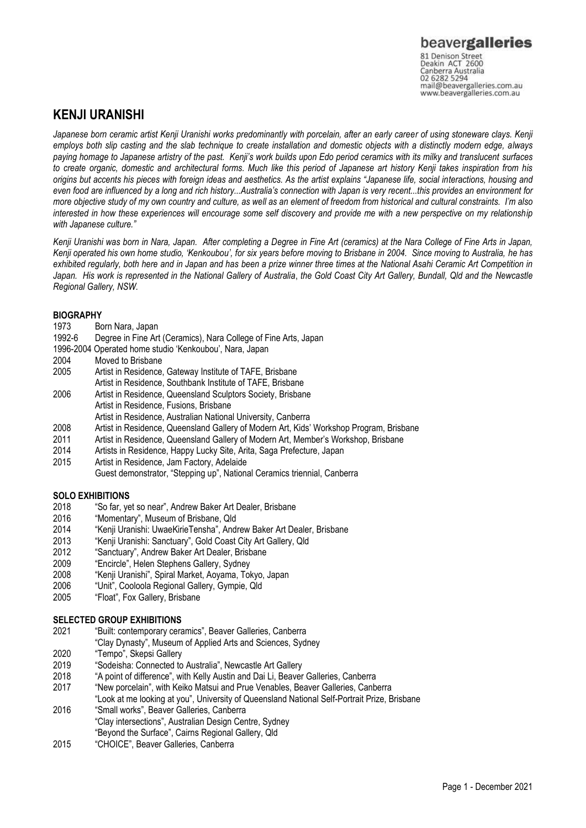Canberra Australia mail@beavergalleries.com.au www.beavergalleries.com.au

# **KENJI URANISHI**

*Japanese born ceramic artist Kenji Uranishi works predominantly with porcelain, after an early career of using stoneware clays. Kenji employs both slip casting and the slab technique to create installation and domestic objects with a distinctly modern edge, always paying homage to Japanese artistry of the past. Kenji's work builds upon Edo period ceramics with its milky and translucent surfaces to create organic, domestic and architectural forms. Much like this period of Japanese art history Kenji takes inspiration from his origins but accents his pieces with foreign ideas and aesthetics. As the artist explains "Japanese life, social interactions, housing and even food are influenced by a long and rich history...Australia's connection with Japan is very recent...this provides an environment for more objective study of my own country and culture, as well as an element of freedom from historical and cultural constraints. I'm also interested in how these experiences will encourage some self discovery and provide me with a new perspective on my relationship with Japanese culture."*

*Kenji Uranishi was born in Nara, Japan. After completing a Degree in Fine Art (ceramics) at the Nara College of Fine Arts in Japan, Kenji operated his own home studio, 'Kenkoubou', for six years before moving to Brisbane in 2004. Since moving to Australia, he has exhibited regularly, both here and in Japan and has been a prize winner three times at the National Asahi Ceramic Art Competition in*  Japan. His work is represented in the National Gallery of Australia, the Gold Coast City Art Gallery, Bundall, Qld and the Newcastle *Regional Gallery, NSW.*

## **BIOGRAPHY**

- 1973 Born Nara, Japan
- 1992-6 Degree in Fine Art (Ceramics), Nara College of Fine Arts, Japan
- 1996-2004 Operated home studio 'Kenkoubou', Nara, Japan
- Moved to Brisbane
- 2005 Artist in Residence, Gateway Institute of TAFE, Brisbane
- Artist in Residence, Southbank Institute of TAFE, Brisbane
- 2006 Artist in Residence, Queensland Sculptors Society, Brisbane
- Artist in Residence, Fusions, Brisbane
	- Artist in Residence, Australian National University, Canberra
- 2008 Artist in Residence, Queensland Gallery of Modern Art, Kids' Workshop Program, Brisbane
- 2011 Artist in Residence, Queensland Gallery of Modern Art, Member's Workshop, Brisbane
- 2014 Artists in Residence, Happy Lucky Site, Arita, Saga Prefecture, Japan
- 2015 Artist in Residence, Jam Factory, Adelaide

Guest demonstrator, "Stepping up", National Ceramics triennial, Canberra

## **SOLO EXHIBITIONS**

- 2018 "So far, yet so near", Andrew Baker Art Dealer, Brisbane
- 2016 "Momentary", Museum of Brisbane, Qld
- 2014 "Kenji Uranishi: UwaeKirieTensha", Andrew Baker Art Dealer, Brisbane
- 2013 "Kenji Uranishi: Sanctuary", Gold Coast City Art Gallery, Qld
- "Sanctuary", Andrew Baker Art Dealer, Brisbane
- 2009 "Encircle", Helen Stephens Gallery, Sydney
- 2008 "Kenji Uranishi", Spiral Market, Aoyama, Tokyo, Japan<br>2006 "Unit", Cooloola Regional Gallery, Gympie, Old
- 2006 "Unit", Cooloola Regional Gallery, Gympie, Qld
- "Float", Fox Gallery, Brisbane

## **SELECTED GROUP EXHIBITIONS**

- 2021 "Built: contemporary ceramics", Beaver Galleries, Canberra
	- "Clay Dynasty", Museum of Applied Arts and Sciences, Sydney
- 2020 "Tempo", Skepsi Gallery
- 2019 "Sodeisha: Connected to Australia", Newcastle Art Gallery
- 2018 "A point of difference", with Kelly Austin and Dai Li, Beaver Galleries, Canberra
- 2017 "New porcelain", with Keiko Matsui and Prue Venables, Beaver Galleries, Canberra
- "Look at me looking at you", University of Queensland National Self-Portrait Prize, Brisbane 2016 "Small works", Beaver Galleries, Canberra
- "Clay intersections", Australian Design Centre, Sydney
- "Beyond the Surface", Cairns Regional Gallery, Qld
- 2015 "CHOICE", Beaver Galleries, Canberra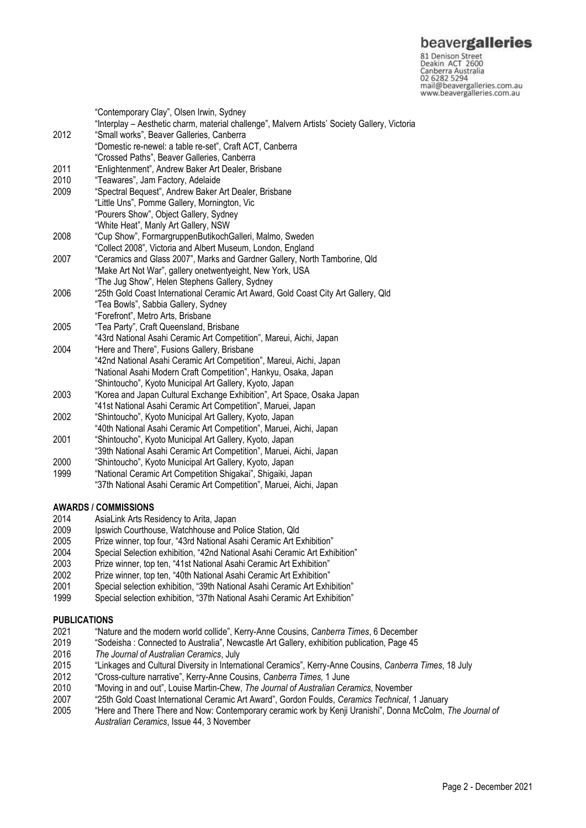## beavergalleries

81 Denison Street<br>Deakin ACT 2600 Canberra Australia 02 6282 5294 mail@beavergalleries.com.au www.beavergalleries.com.au

"Contemporary Clay", Olsen Irwin, Sydney "Interplay – Aesthetic charm, material challenge", Malvern Artists' Society Gallery, Victoria 2012 "Small works", Beaver Galleries, Canberra "Domestic re-newel: a table re-set", Craft ACT, Canberra "Crossed Paths", Beaver Galleries, Canberra 2011 "Enlightenment", Andrew Baker Art Dealer, Brisbane<br>2010 "Teawares", Jam Factory, Adelaide 2010 "Teawares", Jam Factory, Adelaide<br>2009 "Spectral Bequest" Andrew Baker A "Spectral Bequest", Andrew Baker Art Dealer, Brisbane "Little Uns", Pomme Gallery, Mornington, Vic "Pourers Show", Object Gallery, Sydney "White Heat", Manly Art Gallery, NSW 2008 "Cup Show", FormargruppenButikochGalleri, Malmo, Sweden "Collect 2008", Victoria and Albert Museum, London, England 2007 "Ceramics and Glass 2007", Marks and Gardner Gallery, North Tamborine, Qld "Make Art Not War", gallery onetwentyeight, New York, USA "The Jug Show", Helen Stephens Gallery, Sydney 2006 "25th Gold Coast International Ceramic Art Award, Gold Coast City Art Gallery, Qld "Tea Bowls", Sabbia Gallery, Sydney "Forefront", Metro Arts, Brisbane 2005 "Tea Party", Craft Queensland, Brisbane "43rd National Asahi Ceramic Art Competition", Mareui, Aichi, Japan 2004 "Here and There", Fusions Gallery, Brisbane "42nd National Asahi Ceramic Art Competition", Mareui, Aichi, Japan "National Asahi Modern Craft Competition", Hankyu, Osaka, Japan "Shintoucho", Kyoto Municipal Art Gallery, Kyoto, Japan 2003 "Korea and Japan Cultural Exchange Exhibition", Art Space, Osaka Japan "41st National Asahi Ceramic Art Competition", Maruei, Japan 2002 "Shintoucho", Kyoto Municipal Art Gallery, Kyoto, Japan "40th National Asahi Ceramic Art Competition", Maruei, Aichi, Japan

- 2001 "Shintoucho", Kyoto Municipal Art Gallery, Kyoto, Japan
- "39th National Asahi Ceramic Art Competition", Maruei, Aichi, Japan
- 2000 "Shintoucho", Kyoto Municipal Art Gallery, Kyoto, Japan
- 1999 "National Ceramic Art Competition Shigakai", Shigaiki, Japan
	- "37th National Asahi Ceramic Art Competition", Maruei, Aichi, Japan

## **AWARDS / COMMISSIONS**

- 2014 AsiaLink Arts Residency to Arita, Japan
- 2009 Ipswich Courthouse, Watchhouse and Police Station, Qld
- 2005 Prize winner, top four, "43rd National Asahi Ceramic Art Exhibition"
- 2004 Special Selection exhibition, "42nd National Asahi Ceramic Art Exhibition"<br>2003 Prize winner, top ten, "41st National Asahi Ceramic Art Exhibition"
- 2003 Prize winner, top ten, "41st National Asahi Ceramic Art Exhibition"
- 2002 Prize winner, top ten, "40th National Asahi Ceramic Art Exhibition"
- Special selection exhibition, "39th National Asahi Ceramic Art Exhibition"
- 1999 Special selection exhibition, "37th National Asahi Ceramic Art Exhibition"

## **PUBLICATIONS**

- 2021 "Nature and the modern world collide", Kerry-Anne Cousins, *Canberra Times*, 6 December
- 2019 "Sodeisha : Connected to Australia", Newcastle Art Gallery, exhibition publication, Page 45
- 2016 *The Journal of Australian Ceramics*, July
- 2015 "Linkages and Cultural Diversity in International Ceramics", Kerry-Anne Cousins, *Canberra Times*, 18 July
- 2012 "Cross-culture narrative", Kerry-Anne Cousins, *Canberra Times,* 1 June
- 2010 "Moving in and out", Louise Martin-Chew, *The Journal of Australian Ceramics*, November
- 2007 "25th Gold Coast International Ceramic Art Award", Gordon Foulds, *Ceramics Technical*, 1 January
- 2005 "Here and There There and Now: Contemporary ceramic work by Kenji Uranishi", Donna McColm, *The Journal of Australian Ceramics*, Issue 44, 3 November